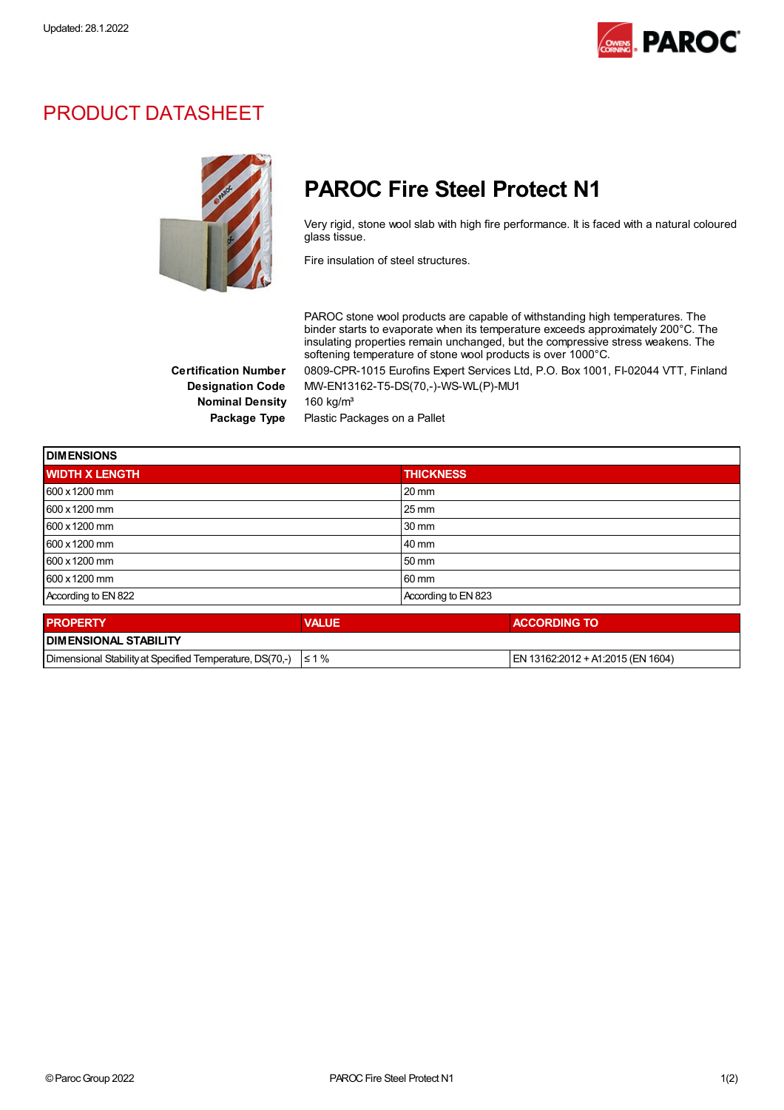

## PRODUCT DATASHEET



## PAROC Fire Steel Protect N1

Very rigid, stone wool slab with high fire performance. It is faced with a natural coloured glass tissue.

Fire insulation of steel structures.

PAROC stone wool products are capable of withstanding high temperatures. The binder starts to evaporate when its temperature exceeds approximately 200°C. The insulating properties remain unchanged, but the compressive stress weakens. The softening temperature of stone wool products is over 1000°C.

Certification Number 0809-CPR-1015 Eurofins Expert Services Ltd, P.O. Box 1001, FI-02044 VTT, Finland Designation Code MW-EN13162-T5-DS(70,-)-WS-WL(P)-MU1

Nominal Density 160 kg/m<sup>3</sup>

Package Type Plastic Packages on a Pallet

| <b>DIMENSIONS</b>     |              |                     |  |  |
|-----------------------|--------------|---------------------|--|--|
| <b>WIDTH X LENGTH</b> |              | <b>THICKNESS</b>    |  |  |
| 600 x 1200 mm         |              | $20 \text{ mm}$     |  |  |
| 600 x 1200 mm         |              | $25 \,\mathrm{mm}$  |  |  |
| 600 x 1200 mm         |              | 30 mm               |  |  |
| 600 x 1200 mm         |              | 40 mm               |  |  |
| 600 x 1200 mm         |              | 50 mm               |  |  |
| 600 x 1200 mm         |              | 60 mm               |  |  |
| According to EN 822   |              | According to EN 823 |  |  |
| <b>PROPERTY</b>       | <b>VALUE</b> | <b>ACCORDING TO</b> |  |  |

| <u>IFRUFERI I</u>                                                   | /ALUC | AUGURDING TU                       |
|---------------------------------------------------------------------|-------|------------------------------------|
| <b>I DIMENSIONAL STABILITY</b>                                      |       |                                    |
| Dimensional Stability at Specified Temperature, DS(70.-) $\leq 1\%$ |       | IEN 13162:2012 + A1:2015 (EN 1604) |